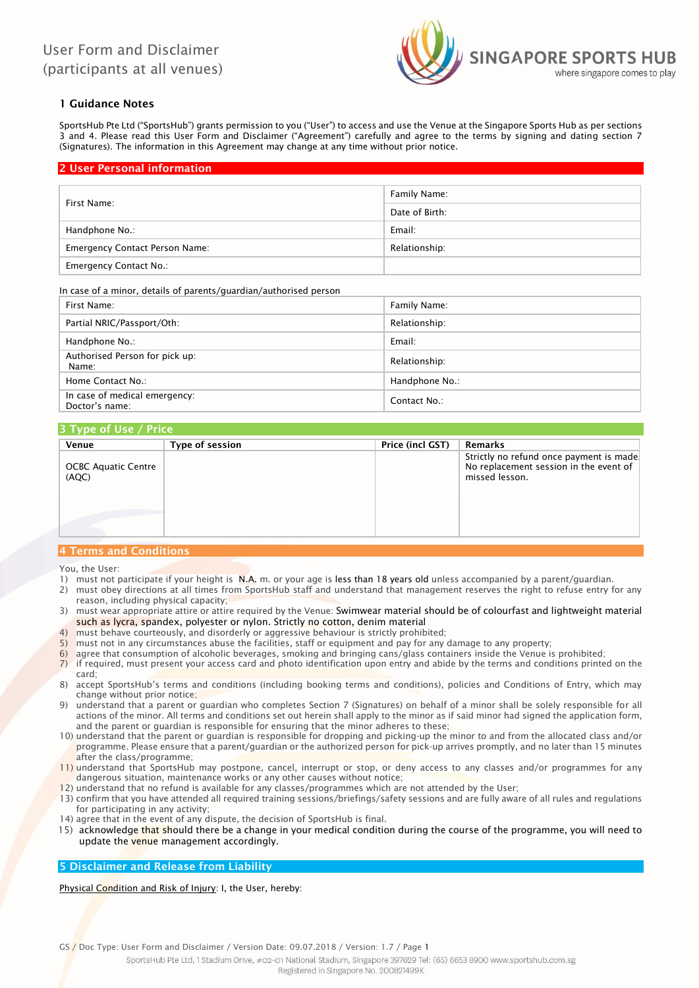

# 1 Guidance Notes

SportsHub Pte Ltd ("SportsHub") grants permission to you ("User") to access and use the Venue at the Singapore Sports Hub as per sections 3 and 4. Please read this User Form and Disclaimer ("Agreement") carefully and agree to the terms by signing and dating section 7 (Signatures). The information in this Agreement may change at any time without prior notice.

# 2 User Personal information

|                                       | Family Name:   |
|---------------------------------------|----------------|
| First Name:                           | Date of Birth: |
| Handphone No.:                        | Email:         |
| <b>Emergency Contact Person Name:</b> | Relationship:  |
| <b>Emergency Contact No.:</b>         |                |

#### In case of a minor, details of parents/guardian/authorised person

| First Name:                                     | Family Name:   |
|-------------------------------------------------|----------------|
| Partial NRIC/Passport/Oth:                      | Relationship:  |
| Handphone No.:                                  | Email:         |
| Authorised Person for pick up:<br>Name:         | Relationship:  |
| Home Contact No.:                               | Handphone No.: |
| In case of medical emergency:<br>Doctor's name: | Contact No.:   |

## 3 Type of Use / Price

| Venue                               | <b>Type of session</b> | Price (incl GST) | Remarks                                                                                             |
|-------------------------------------|------------------------|------------------|-----------------------------------------------------------------------------------------------------|
| <b>OCBC Aquatic Centre</b><br>(AQC) |                        |                  | Strictly no refund once payment is made<br>No replacement session in the event of<br>missed lesson. |
| 4 Terms and Conditions              |                        |                  |                                                                                                     |

#### You, the User:

- 1) must not participate if your height is N.A. m. or your age is less than 18 years old unless accompanied by a parent/guardian.
- 2) must obey directions at all times from SportsHub staff and understand that management reserves the right to refuse entry for any reason, including physical capacity;
- 3) must wear appropriate attire or attire required by the Venue: Swimwear material should be of colourfast and lightweight material such as lycra, spandex, polyester or nylon. Strictly no cotton, denim material
- 4) must behave courteously, and disorderly or aggressive behaviour is strictly prohibited;
- 5) must not in any circumstances abuse the facilities, staff or equipment and pay for any damage to any property;
- 6) agree that consumption of alcoholic beverages, smoking and bringing cans/glass containers inside the Venue is prohibited;
- 7) if required, must present your access card and photo identification upon entry and abide by the terms and conditions printed on the card;
- 8) accept SportsHub's terms and conditions (including booking terms and conditions), policies and Conditions of Entry, which may change without prior notice;
- 9) understand that a parent or guardian who completes Section 7 (Signatures) on behalf of a minor shall be solely responsible for all actions of the minor. All terms and conditions set out herein shall apply to the minor as if said minor had signed the application form, and the parent or guardian is responsible for ensuring that the minor adheres to these;
- 10) understand that the parent or guardian is responsible for dropping and picking-up the minor to and from the allocated class and/or programme. Please ensure that a parent/guardian or the authorized person for pick-up arrives promptly, and no later than 15 minutes after the class/programme;
- 11) understand that SportsHub may postpone, cancel, interrupt or stop, or deny access to any classes and/or programmes for any dangerous situation, maintenance works or any other causes without notice;
- 12) understand that no refund is available for any classes/programmes which are not attended by the User;
- 13) confirm that you have attended all required training sessions/briefings/safety sessions and are fully aware of all rules and regulations for participating in any activity;
- 14) agree that in the event of any dispute, the decision of SportsHub is final.
- 15) acknowledge that should there be a change in your medical condition during the course of the programme, you will need to update the venue management accordingly.

# 5 Disclaimer and Release from Liability

Physical Condition and Risk of Injury: I, the User, hereby:

GS / Doc Type: User Form and Disclaimer / Version Date: 09.07.2018 / Version: 1.7 / Page 1

SportsHub Pte Ltd, 1 Stadium Drive, #02-01 National Stadium, Singapore 397629 Tel: (65) 6653 8900 www.sportshub.com.sg Registered in Singapore No. 200821499K